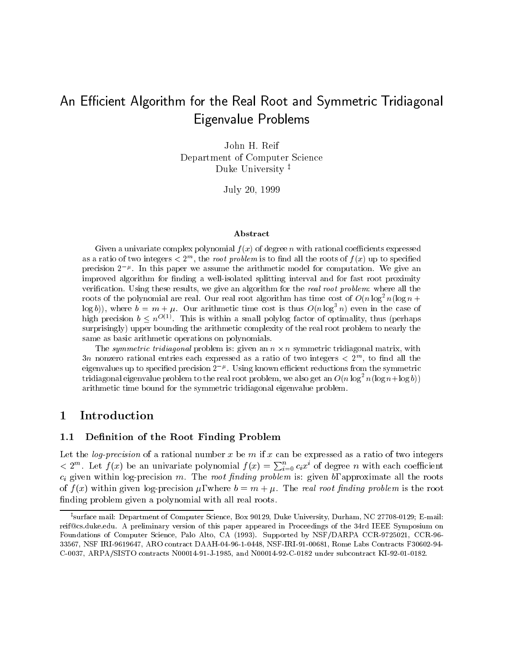# An Efficient Algorithm for the Real Root and Symmetric Tridiagonal Eigenvalue Problems

John H. Reif Department of Computer Science Duke University<sup> $\ddag$ </sup>

July 20, 1999

### Abstract

Given a univariate complex polynomial <sup>f</sup> (x) of degree <sup>n</sup> with rational coecients expressed as a ratio of two integers  $\leq$  2  $^{\circ}$  , the *root problem* is to find an the roots of  $T(x)$  up to specified precision 2 . In this paper we assume the arithmetic model for computation. We give an improved algorithm for minimizing a well-isolated splitting interval and for fast root proximity  $\mathbb{R}^n$ verication. Using these results, we give an algorithm for the real root problem: where all the roots of the polynomial are real. Our real root algorithm has time cost of  $O(n\log^2 n(\log n +$ log b)), where  $b = m + \mu$ . Our arithmetic time cost is thus  $O(n \log^2 n)$  even in the case of  $\min$  precision  $v \leq n \geq 1$  ms is within a small polylog factor of optimality, thus (perhaps surprisingly) upper bounding the arithmetic complexity of the real root problem to nearly thesame as basic arithmetic operations on polynomials.

The symmetric triangular problem is. given an  $n \times n$  symmetric tridiagonal matrix, with  $5n$  nonzero rational entries each expressed as a ratio of two integers  $\leq$  2  $^{\circ}$ , to find an the eigenvalues up to specified precision 2  $\,$  ". Using known efficient reductions from the symmetric tridiagonal eigenvalue problem to the real root problem, we also get an  $O(n\log^2n(\log n+\log n))$ arithmetic time bound for the symmetric tridiagonal eigenvalue problem.

## 1 Introduction

#### Definition of the Root Finding Problem  $1.1$

Let the *log-precision* of a rational number x be m if x can be expressed as a ratio of two integers  $< 2^m$ . Let  $f(x)$  be an univariate polynomial  $f(x) = \sum_{i=0}^n c_i x^i$  of degree n with each coefficient ci given within log-precision m. The root fact  $\mu$  problem is: given b, approximate all the roots all the root of  $f(x)$  within given log-precision  $\mu$ , where  $b = m + \mu$ . The real root finding problem is the root finding problem given a polynomial with all real roots.

<sup>z</sup> surface mail: Department of Computer Science, Box 90129, Duke University, Durham, NC 27708-0129; E-mail: reif@cs.duke.edu. A preliminary version of this paper appeared in Proceedings of the 34rd IEEE Symposium on Foundations of Computer Science, Palo Alto, CA (1993). Supported by NSF/DARPA CCR-9725021, CCR-96- 33567, NSF IRI-9619647, ARO contract DAAH-04-96-1-0448, NSF-IRI-91-00681, Rome Labs Contracts F30602-94- C-0037, ARPA/SISTO contracts N00014-91-J-1985, and N00014-92-C-0182 under subcontract KI-92-01-0182.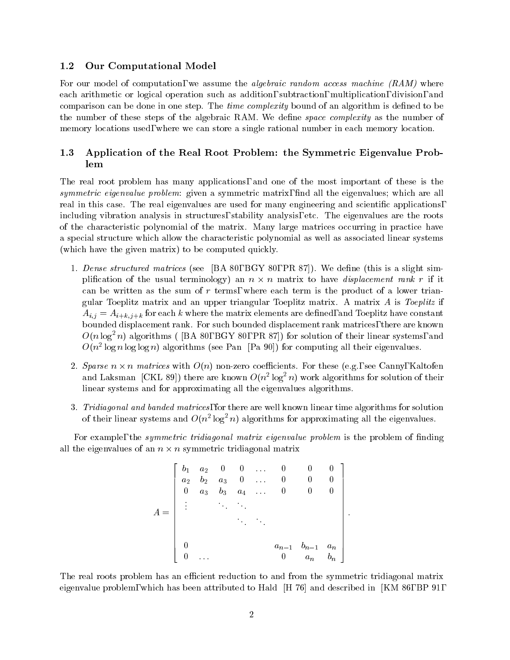## 1.2 Our Computational Model

For our model of computation, we assume the *algebraic random access machine*  $(RAM)$  where each arithmetic or logical operation such as addition, subtraction, multiplication, division, and comparison can be done in one step. The time complexity bound of an algorithm is defined to be the number of these steps of the algebraic RAM. We define *space complexity* as the number of memory locations used, where we can store a single rational number in each memory location.

## 1.3 Application of the Real Root Problem: the Symmetric Eigenvalue Problem

The real root problem has many applications, and one of the most important of these is the symmetric eigenvalue problem: given a symmetric matrix, find all the eigenvalues; which are all real in this case. The real eigenvalues are used for many engineering and scientific applications, including vibration analysis in structures, stability analysis, etc. The eigenvalues are the roots of the characteristic polynomial of the matrix. Many large matrices occurring in practice have a special structure which allow the characteristic polynomial as well as associated linear systems (which have the given matrix) to be computed quickly.

- 1. Dense structured matrices (see [BA 80, BGY 80, PR 87]). We define (this is a slight simplification of the usual terminology) an  $n \times n$  matrix to have *displacement rank r* if it can be written as the sum of  $r$  terms, where each term is the product of a lower triangular Toeplitz matrix and an upper triangular Toeplitz matrix. A matrix  $A$  is Toeplitz if arij en artikitzatiev matrix elements are definite matrix elements are definite  $\mu$  . The matrix of  $\mu$ bounded displacement rank. For such bounded displacement rank matrices, there are known  $O(n \log^2 n)$  algorithms ( [BA 80, BGY 80, PR 87]) for solution of their linear systems, and  $O(n^2 \log n \log n)$  algorithms (see Pan [Pa 90]) for computing all their eigenvalues.
- 2. Sparse  $n \times n$  matrices with  $O(n)$  non-zero coefficients. For these (e.g., see Canny, Kaltofen and Laksman  $|\text{CAL}|\text{S9}|$ ) there are known  $O(n^2 \log^2 n)$  work algorithms for solution of their linear systems and for approximating all the eigenvalues algorithms.
- 3. Tridiagonal and banded matrices, for there are well known linear time algorithms for solution of their linear systems and  $O(n^2 \log^2 n)$  algorithms for approximating all the eigenvalues.

For example, the *symmetric tridiagonal matrix eigenvalue problem* is the problem of finding all the eigenvalues of an  $n \times n$  symmetric tridiagonal matrix

$$
A = \left[\begin{array}{ccccc} b_1 & a_2 & 0 & 0 & \dots & 0 & 0 & 0 \\ a_2 & b_2 & a_3 & 0 & \dots & 0 & 0 & 0 \\ 0 & a_3 & b_3 & a_4 & \dots & 0 & 0 & 0 \\ \vdots & & & & & & & \\ 0 & & & & & & & \\ 0 & & & & & & & \\ 0 & & & & & & & 0 \\ 0 & & & & & & & 0 & a_n \\ 0 & & & & & & & 0 & a_n & b_n \end{array}\right]
$$

The real roots problem has an efficient reduction to and from the symmetric tridiagonal matrix eigenvalue problem, which has been attributed to Hald [H 76] and described in [KM 86, BP 91,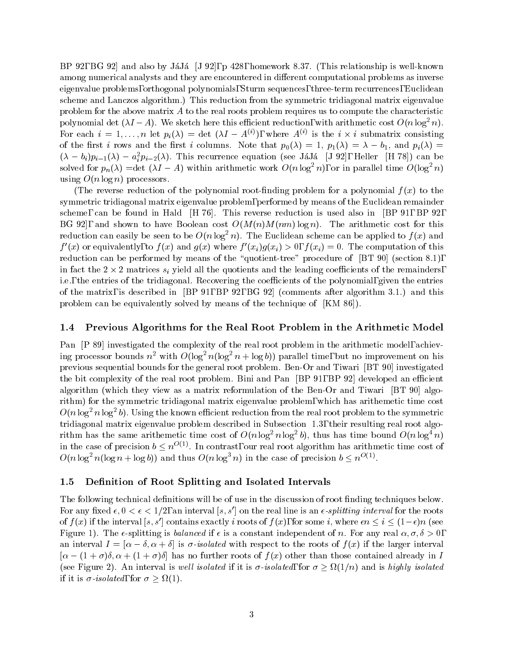BP 92, BG 92 and also by JaJa [J 92], p 428, homework 8.37. (This relationship is well-known among numerical analysts and they are encountered in different computational problems as inverse eigenvalue problems, orthogonal polynomials, Sturm sequences, three-term recurrences, Euclidean scheme and Lanczos algorithm.) This reduction from the symmetric tridiagonal matrix eigenvalue problem for the above matrix  $\vec{A}$  to the real roots problem requires us to compute the characteristic polynomial det  $(\lambda I - A)$ . We sketch here this efficient reduction, with arithmetic cost  $O(n \log^2 n)$ . For each  $i = 1, \ldots, n$  let  $p_i(\lambda) = \det(\lambda I - A^{(i)})$ , where  $A^{(i)}$  is the  $i \times i$  submatrix consisting of the first i rows and the first i columns. Note that  $p_0(\lambda) = 1$ ,  $p_1(\lambda) = \lambda - b_1$ , and  $p_i(\lambda) = 1$  $(\lambda - b_i)p_{i-1}(\lambda) - a_i^*p_{i-2}(\lambda)$ . This recurrence equation (see JaJa [J 92], Heller [H 78]) can be solved for  $p_n(\lambda) = \det (\lambda I - A)$  within arithmetic work  $O(n \log^2 n)$ , or in parallel time  $O(\log^2 n)$ using  $O(n \log n)$  processors.

(The reverse reduction of the polynomial root-finding problem for a polynomial  $f(x)$  to the symmetric tridiagonal matrix eigenvalue problem, performed by means of the Euclidean remainder scheme, can be found in Hald [H 76]. This reverse reduction is used also in [BP 91, BP 92, BG 92, and shown to have Boolean cost  $O(M(n)M(nm) \log n)$ . The arithmetic cost for this reduction can easily be seen to be  $O(n \log^2 n)$ . The Euclidean scheme can be applied to  $f(x)$  and  $f(x)$  or equivalently, to  $f(x)$  and  $g(x)$  where  $f(x_i)g(x_i) > 0$ ,  $f(x_i) = 0$ . The computation of this reduction can be performed by means of the "quotient-tree" procedure of [BT 90] (section 8.1), in fact the 2  $\times$  2 matrices  $s_i$  yield all the quotients and the leading coefficients of the remainders, i.e., the entries of the tridiagonal. Recovering the coefficients of the polynomial, given the entries of the matrix, is described in [BP 91, BP 92, BG 92] (comments after algorithm 3.1.) and this problem can be equivalently solved by means of the technique of [KM 86]).

## 1.4 Previous Algorithms for the Real Root Problem in the Arithmetic Model

Pan [P 89] investigated the complexity of the real root problem in the arithmetic model, achieving processor bounds  $n^2$  with  $O(\log^2 n(\log^2 n + \log b))$  parallel time, but no improvement on his previous sequential bounds for the general root problem. Ben-Or and Tiwari [BT 90] investigated the bit complexity of the real root problem. Bini and Pan [BP 91, BP 92] developed an efficient algorithm (which they view as a matrix reformulation of the Ben-Or and Tiwari [BT 90] algorithm) for the symmetric tridiagonal matrix eigenvalue problem, which has arithemetic time cost  $O(n \log^2 n \log^2 b)$ . Using the known efficient reduction from the real root problem to the symmetric tridiagonal matrix eigenvalue problem described in Subsection 1.3, their resulting real root algorithm has the same arithemetic time cost of  $O(n \log^2 n \log^2 b)$ , thus has time bound  $O(n \log^4 n)$ in the case of precision  $b \leq n^{O(1)}$ . In contrast, our real root algorithm has arithmetic time cost of  $O(n \log^2 n (\log n + \log b))$  and thus  $O(n \log^3 n)$  in the case of precision  $b \leq n^{O(1)}$ .

## 1.5 Definition of Root Splitting and Isolated Intervals

The following technical definitions will be of use in the discussion of root finding techniques below. For any fixed  $\epsilon$ ,  $0 < \epsilon < 1/2$ , an interval [s, s'] on the real line is an  $\epsilon$ -splitting interval for the roots of  $f(x)$  if the interval [s, s'] contains exactly i roots of  $f(x)$ , for some i, where  $\epsilon n \leq i \leq (1-\epsilon)n$  (see Figure 1). The  $\epsilon$ -splitting is *balanced* if  $\epsilon$  is a constant independent of n. For any real  $\alpha, \sigma, \delta > 0$ , an interval  $I = [\alpha - \delta, \alpha + \delta]$  is  $\sigma$ -isolated with respect to the roots of  $f(x)$  if the larger interval  $[\alpha - (1 + \sigma)\delta, \alpha + (1 + \sigma)\delta]$  has no further roots of  $f(x)$  other than those contained already in I (see Figure 2). An interval is well isolated if it is  $\sigma$ -isolated, for  $\sigma \geq \Omega(1/n)$  and is highly isolated if it is  $\sigma$ -isolated, for  $\sigma \geq \Omega(1)$ .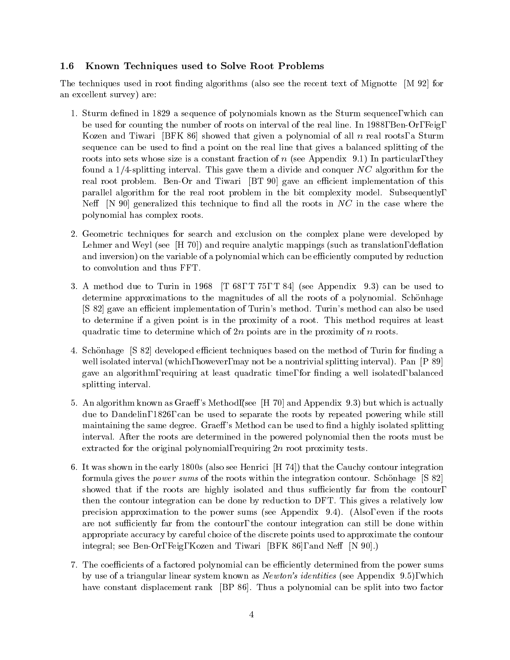## 1.6 Known Techniques used to Solve Root Problems

The techniques used in root finding algorithms (also see the recent text of Mignotte  $[M 92]$  for an excellent survey) are:

- 1. Sturm defined in 1829 a sequence of polynomials known as the Sturm sequence, which can be used for counting the number of roots on interval of the real line. In 1988, Ben-Or, Feig, Kozen and Tiwari [BFK 86] showed that given a polynomial of all  $n$  real roots, a Sturm sequence can be used to find a point on the real line that gives a balanced splitting of the roots into sets whose size is a constant fraction of  $n$  (see Appendix 9.1) In particular, they found a  $1/4$ -splitting interval. This gave them a divide and conquer NC algorithm for the real root problem. Ben-Or and Tiwari [BT 90] gave an efficient implementation of this parallel algorithm for the real root problem in the bit complexity model. Subsequently, Neff  $[N 90]$  generalized this technique to find all the roots in NC in the case where the polynomial has complex roots.
- 2. Geometric techniques for search and exclusion on the complex plane were developed by Lehmer and Weyl (see  $[H 70]$ ) and require analytic mappings (such as translation, deflation and inversion) on the variable of a polynomial which can be efficiently computed by reduction to convolution and thus FFT.
- 3. A method due to Turin in 1968  $[T 68, T 75, T 84]$  (see Appendix 9.3) can be used to determine approximations to the magnitudes of all the roots of a polynomial. Schönhage [S 82] gave an efficient implementation of Turin's method. Turin's method can also be used to determine ifa given point is in the proximity of a root. This method requires at least quadratic time to determine which of  $2n$  points are in the proximity of n roots.
- 4. Schönhage [S 82] developed efficient techniques based on the method of Turin for finding a well isolated interval (which, however, may not be a nontrivial splitting interval). Pan [P 89] gave an algorithm, requiring at least quadratic time, for nding a well isolated, balanced splitting interval.
- 5. An algorithm known as Graeff's Method, (see  $[H 70]$  and Appendix 9.3) but which is actually due to Dandelin, 1826, can be used to separate the roots by repeated powering while still maintaining the same degree. Graeff's Method can be used to find a highly isolated splitting interval. After the roots are determined in the powered polynomial then the roots must be extracted for the original polynomial, requiring  $2n$  root proximity tests.
- 6. It was shown in the early 1800s (also see Henrici [H 74]) that the Cauchy contour integration formula gives the power sums of the roots within the integration contour. Schonhage [S 82] showed that if the roots are highly isolated and thus sufficiently far from the contour, then the contour integration can be done by reduction to DFT. This gives a relatively low precision approximation to the power sums (see Appendix 9.4). (Also, even if the roots are not sufficiently far from the contour, the contour integration can still be done within appropriate accuracy by careful choice of the discrete points used to approximate the contour integral; see Ben-Or, Feig, Kozen and Tiwari [BFK 86], and Neff [N 90].)
- 7. The coefficients of a factored polynomial can be efficiently determined from the power sums by use of a triangular linear system known as Newton's identities (see Appendix 9.5), which have constant displacement rank [BP 86]. Thus a polynomial can be split into two factor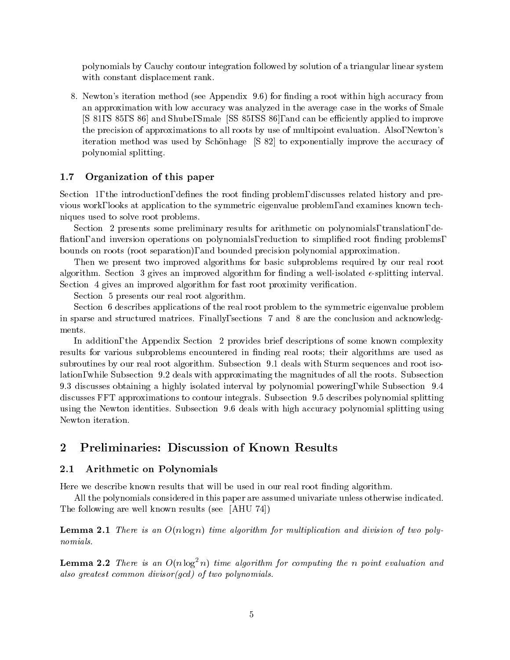polynomials by Cauchy contour integration followed by solution of a triangular linear system with constant displacement rank.

8. Newton's iteration method (see Appendix 9.6) for finding a root within high accuracy from an approximation with low accuracy was analyzed in the average case in the works of Smale [S 81, S 85, S 86] and Shube, Smale [SS 85, SS 86], and can be efficiently applied to improve the precision of approximations to all roots by use of multipoint evaluation. Also, Newton's iteration method was used by Schonhage [S 82] to exponentially improve the accuracy of polynomial splitting.

#### $1.7$ Organization of this paper

Section 1, the introduction, defines the root finding problem, discusses related history and previous work, looks at application to the symmetric eigenvalue problem, and examines known techniques used to solve root problems.

Section 2 presents some preliminary results for arithmetic on polynomials, translation, de flation, and inversion operations on polynomials, reduction to simplified root finding problems, bounds on roots (root separation), and bounded precision polynomial approximation.

Then we present two improved algorithms for basic subproblems required by our real root algorithm. Section 3 gives an improved algorithm for finding a well-isolated  $\epsilon$ -splitting interval. Section 4 gives an improved algorithm for fast root proximity verification.

Section 5 presents our real root algorithm.

Section 6 describes applications of the real root problem to the symmetric eigenvalue problem in sparse and structured matrices. Finally, sections 7 and 8 are the conclusion and acknowledgments.

In addition, the Appendix Section 2 provides brief descriptions of some known complexity results for various subproblems encountered in finding real roots; their algorithms are used as subroutines by our real root algorithm. Subsection 9.1 deals with Sturm sequences and root isolation, while Subsection 9.2 deals with approximating the magnitudes of all the roots. Subsection 9.3 discusses obtaining a highly isolated interval by polynomial powering, while Subsection 9.4 discusses FFT approximations to contour integrals. Subsection 9.5 describes polynomial splitting using the Newton identities. Subsection 9.6 deals with high accuracy polynomial splitting using Newton iteration.

## 2 Preliminaries: Discussion of Known Results

## 2.1 Arithmetic on Polynomials

Here we describe known results that will be used in our real root finding algorithm.

All the polynomials considered in this paper are assumed univariate unless otherwise indicated. The following are well known results (see [AHU 74])

**Lemma 2.1** There is an  $O(n \log n)$  time algorithm for multiplication and division of two polynomials.

**Lemma 2.2** There is an  $O(n \log^2 n)$  time algorithm for computing the n point evaluation and also greatest common divisor(gcd) of two polynomials.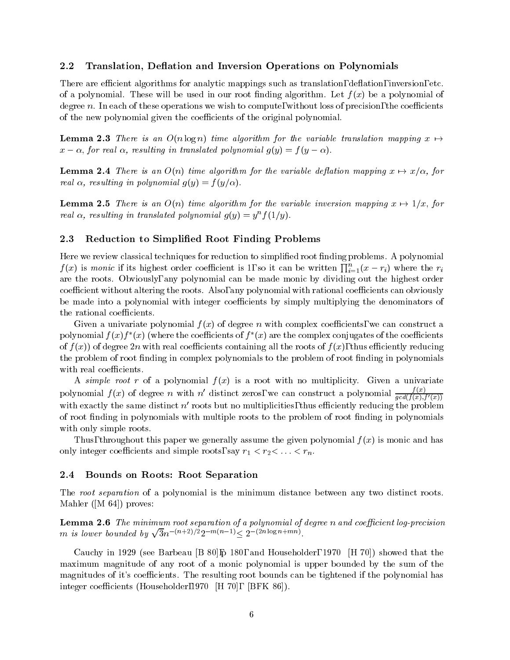## 2.2 Translation, Deflation and Inversion Operations on Polynomials

There are efficient algorithms for analytic mappings such as translation, deflation, inversion, etc. of a polynomial. These will be used in our root finding algorithm. Let  $f(x)$  be a polynomial of degree  $n$ . In each of these operations we wish to compute, without loss of precision, the coefficients of the new polynomial given the coefficients of the original polynomial.

**Lemma 2.3** There is an  $O(n \log n)$  time algorithm for the variable translation mapping  $x \mapsto$  $x - \alpha$ , for real  $\alpha$ , resulting in translated polynomial  $g(y) = f(y - \alpha)$ .

**Lemma 2.4** There is an  $O(n)$  time algorithm for the variable deflation mapping  $x \mapsto x/\alpha$ , for real  $\alpha$ , resulting in polynomial  $g(y) = f(y/\alpha)$ .

**Lemma 2.5** There is an  $O(n)$  time algorithm for the variable inversion mapping  $x \mapsto 1/x$ , for real  $\alpha$ , resulting in translated polynomial  $g(y) = y^n f(1/y)$ .

## 2.3 Reduction to Simplied Root Finding Problems

Here we review classical techniques for reduction to simplified root finding problems. A polynomial  $f(x)$  is monic if its highest order coefficient is 1, so it can be written  $\prod_{i=1}^{n} (x - r_i)$  where the  $r_i$ are the roots. Obviously, any polynomial can be made monic by dividing out the highest order coefficient without altering the roots. Also, any polynomial with rational coefficients can obviously be made into a polynomial with integer coefficients by simply multiplying the denominators of the rational coefficients.

Given a univariate polynomial  $f(x)$  of degree n with complex coefficients, we can construct a polynomial  $f(x)f_-(x)$  (where the coefficients of  $f_-(x)$  are the complex conjugates of the coefficients of  $f(x)$  of degree 2n with real coefficients containing all the roots of  $f(x)$ , thus efficiently reducing the problem of root finding in complex polynomials to the problem of root finding in polynomials with real coefficients.

A simple root r of a polynomial  $f(x)$  is a root with no multiplicity. Given a univariate polynomial  $f(x)$  of degree n with n' distinct zeros, we can construct a polynomial  $\frac{f(x)}{gcd(f(x),f'(x))}$ with exactly the same distinct  $n'$  roots but no multiplicities, thus efficiently reducing the problem of root finding in polynomials with multiple roots to the problem of root finding in polynomials with only simple roots.

Thus, throughout this paper we generally assume the given polynomial  $f(x)$  is monic and has only integer coefficients and simple roots, say  $r_{1}$  ,  $r_{2}$  ,  $r_{3}$  ,  $r_{4}$  ,  $r_{5}$ 

#### 2.4 Bounds on Roots: Root Separation

The root separation of a polynomial is the minimum distance between any two distinct roots. Mahler ([M 64]) proves:

Lemma 2.6 The minimum root separation of a polynomial of degree n and coefficient log-precision m is lower bounded by  $\sqrt{3}n^{-(n+2)/2}2^{-m(n-1)} \leq 2^{-(2n\log n+mn)}$ .

Cauchy in 1929 (see Barbeau [B 80],p 180, and Householder, 1970 [H 70]) showed that the maximum magnitude of any root of a monic polynomial is upper bounded by the sum of the magnitudes of it's coefficients. The resulting root bounds can be tightened if the polynomial has integer coefficients (Householder, 1970 [H 70], [BFK 86]).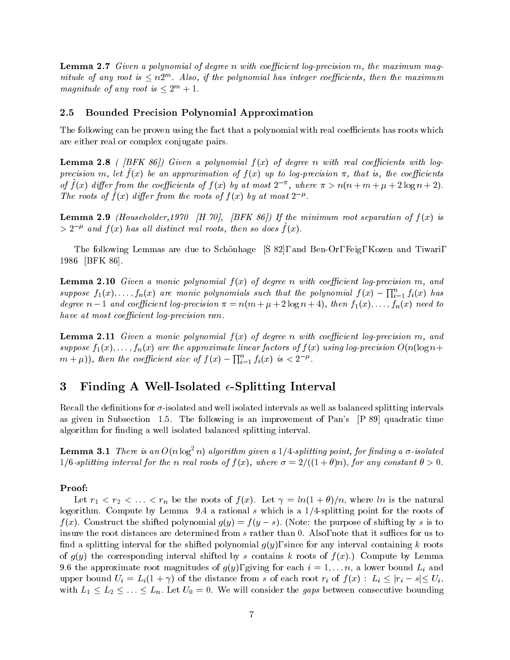**Lemma 2.7** Given a polynomial of degree n with coefficient log-precision m, the maximum magnitude of any root is  $\leq n2^m$ . Also, if the polynomial has integer coefficients, then the maximum magnitude of any root is  $\leq 2^m + 1$ .

## 2.5 Bounded Precision Polynomial Approximation

The following can be proven using the fact that a polynomial with real coefficients has roots which are either real or complex conjugate pairs.

**Lemma 2.8** ( [BFK 86]) Given a polynomial  $f(x)$  of degree n with real coefficients with log $p$ recision ni, let  $\rho(x)$  be an approximation of  $\rho(x)$  up to log-precision  $\pi$ , that is, the coefficients of f (x) ather from the coefficients of f (x) by at most  $2^{-\alpha}$ , where  $\pi > n(n+m+\mu+2\log n+2).$ The roots of  $f(x)$  affer from the roots of  $f(x)$  by at most  $2^r$ .

**Lemma 2.9** (Householder, 1970 [H 70], [BFK 86]) If the minimum root separation of  $f(x)$  is  $>$  2  $\degree$  and  $f(x)$  has all aistinct real roots, then so does  $f(x)$ .

The following Lemmas are due to Schonhage [S 82], and Ben-Or, Feig, Kozen and Tiwari, 1986 [BFK 86].

**Lemma 2.10** Given a monic polynomial  $f(x)$  of degree n with coefficient log-precision m, and suppose  $f_1(x), \ldots, f_n(x)$  are monic polynomials such that the polynomial  $f(x) - \prod_{i=1}^n f_i(x)$  has  $-1$ degree  $n-1$  and coefficient log-precision  $\pi = n(m+\mu+2\log n+4)$ , then  $f_1(x),...,f_n(x)$  need to  $have at most coefficient log-precision nm.$ 

**Lemma 2.11** Given a monic polynomial  $f(x)$  of degree n with coefficient log-precision m, and suppose  $f_1(x),...,f_n(x)$  are the approximate linear factors of  $f(x)$  using log-precision  $O(n(\log n+$  $(m+\mu)),$  then the coefficient size of  $f(x)-\prod_{i=1}^nf_i(x)$  is  $< 2^{-\mu}.$ i=1

## 3 Finding A Well-Isolated  $\epsilon$ -Splitting Interval

Recall the definitions for  $\sigma$ -isolated and well isolated intervals as well as balanced splitting intervals as given in Subsection 1.5. The following is an improvement of Pan's [P 89] quadratic time algorithm for finding a well isolated balanced splitting interval.

**Lemma 3.1** There is an  $O(n \log^2 n)$  algorithm given a 1/4-splitting point, for finding a  $\sigma$ -isolated  $1/6$ -splitting interval for the n real roots of  $f(x)$ , where  $\sigma = 2/((1 + \theta)n)$ , for any constant  $\theta > 0$ .

#### Proof:

Let  $\overline{a}$  the results of  $\overline{a}$  and  $\overline{a}$  is the natural methods of  $\overline{a}$ logorithm. Compute by Lemma 9.4 a rational s which is a  $1/4$ -splitting point for the roots of  $f(x)$ . Construct the shifted polynomial  $g(y) = f(y - s)$ . (Note: the purpose of shifting by s is to insure the root distances are determined from  $s$  rather than 0. Also, note that it suffices for us to find a splitting interval for the shifted polynomial  $g(y)$ , since for any interval containing k roots of  $g(y)$  the corresponding interval shifted by s contains k roots of  $f(x)$ .) Compute by Lemma 9.6 the approximate root magnitudes of  $g$  (g), giving for each is  $\equiv$  1; : : : : : : = =  $\equiv$   $\equiv$   $\equiv$   $\equiv$ upper bound  $U_i = L_i(1+\gamma)$  of the distance from s of each root  $r_i$  of  $f(x)$  :  $L_i \le |r_i - s| \le U_i,$ with  $L_1 \leq L_2 \leq \ldots \leq L_n$ . Let  $U_0 = 0$ . We will consider the gaps between consecutive bounding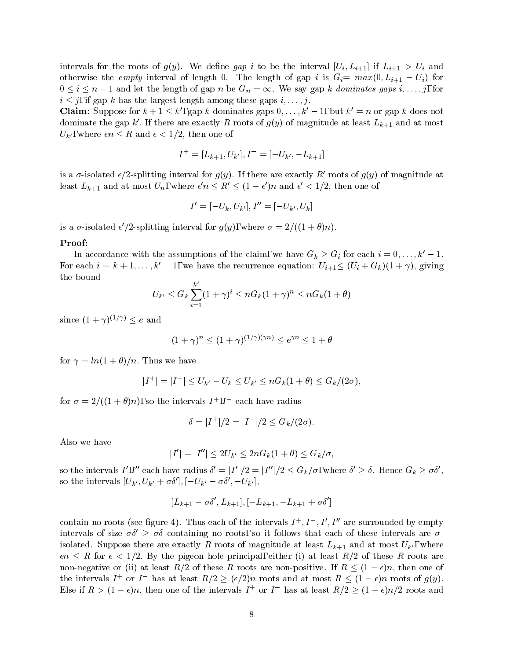intervals for the roots of gap in the roots of gap interval  $U$  interval  $U$  interval  $U$  is  $U$  and  $U$  and  $U$  and  $U$  and  $U$  and  $U$  and  $U$  and  $U$  and  $U$  and  $U$  and  $U$  and  $U$  and  $U$  and  $U$  and  $U$  and  $U$  and otherwise the empty interval of length 0. The length of gap t is  $G_i = max(0, L_{i+1} = U_i)$  for  $0 \le i \le n - 1$  and let the length of gap n be  $G_n = \infty$ . We say gap k dominates gaps i,..., j, for  $i \leq j$ , if gap k has the largest length among these gaps  $i, \ldots, j$ .

**Claim**: Suppose for  $k + 1 \leq k'$ , gap k dominates gaps  $0, \ldots, k'-1$ , but  $k' = n$  or gap k does not dominate the gap  $\kappa$  . If there are exactly  $R$  roots of  $g(y)$  of magnitude at least  $L_{k+1}$  and at most  $U_{k'}$ , where  $\epsilon n \leq R$  and  $\epsilon < 1/2$ , then one of

$$
I^+=[L_{k+1},U_{k'}],I^-=[-U_{k'},-L_{k+1}]
$$

is a  $\sigma$ -isolated  $\epsilon/2$ -splitting interval for  $g(y)$ . If there are exactly R' roots of  $g(y)$  of magnitude at least  $L_{k+1}$  and at most  $U_n$ , where  $\epsilon' n \leq R' \leq (1-\epsilon')n$  and  $\epsilon' \leq 1/2$ , then one of

$$
I'=[-U_k,U_{k'}],I''=[-U_{k'},U_k]
$$

is a  $\sigma$ -isolated  $\epsilon$  /2-splitting interval for  $q(y)$ , where  $\sigma = 2/(1 + \sigma)n$ ).

#### Proof:

In accordance with the assumptions of the claim, we have  $G_k \geq G_i$  for each  $i = 0, \ldots, k'-1$ . For each  $i = k + 1, \ldots, k' - 1$ , we have the recurrence equation:  $U_{i+1} \leq (U_i + G_k)(1 + \gamma)$ , giving the bound

$$
U_{k'} \leq G_k \sum_{i=1}^{k'} (1+\gamma)^i \leq n G_k (1+\gamma)^n \leq n G_k (1+\theta)
$$

since  $(1+\gamma)^{(1/\gamma)} \leq e$  and

$$
(1+\gamma)^n \le (1+\gamma)^{(1/\gamma)(\gamma n)} \le e^{\gamma n} \le 1+\theta
$$

for  $\gamma = \ln(1+\theta)/n$ . Thus we have

$$
|I^+| = |I^-| \le U_{k'} - U_k \le U_{k'} \le nG_k(1+\theta) \le G_k/(2\sigma),
$$

for  $\sigma = 2/( (1 + \sigma) n)$ , so the intervals  $I_+, I_-$  each have radius

$$
\delta = |I^+|/2 = |I^-|/2 \le G_k/(2\sigma).
$$

Also we have

$$
|I'| = |I''| \leq 2U_{k'} \leq 2nG_k(1+\theta) \leq G_k/\sigma,
$$

so the intervals  $I',I''$  each have radius  $\delta' = |I'|/2 = |I''|/2 \leq G_k/\sigma,$  where  $\delta' \geq \delta.$  Hence  $G_k \geq \sigma \delta',$ so the intervals  $[U_{k'}, U_{k'} + \sigma \delta'], [-U_{k'} - \sigma \delta', -U_{k'}],$ 

$$
[L_{k+1}-\sigma\delta',L_{k+1}],[-L_{k+1},-L_{k+1}+\sigma\delta']
$$

contain no roots (see figure 4). Thus each of the intervals  $I^+, I^-, I^-, I^-$  are surrounded by empty intervals of size  $\sigma\delta' \geq \sigma\delta$  containing no roots, so it follows that each of these intervals are  $\sigma$ is contract suppose there are exactly R roots of man $O$  and at least  $M+1$  and at most Uk0 , where  $\epsilon$  $\epsilon n \leq R$  for  $\epsilon < 1/2$ . By the pigeon hole principal, either (i) at least  $R/2$  of these R roots are non-negative or (ii) at least  $R/2$  of these R roots are non-positive. If  $R \leq (1 - \epsilon)n$ , then one of the intervals  $I^+$  or  $I^-$  has at least  $R/2 \geq (\epsilon/2)n$  roots and at most  $R \leq (1 - \epsilon)n$  roots of  $g(y)$ . Else if  $R > (1 - \epsilon)n$ , then one of the intervals  $I^+$  or  $I^-$  has at least  $R/2 \ge (1 - \epsilon)n/2$  roots and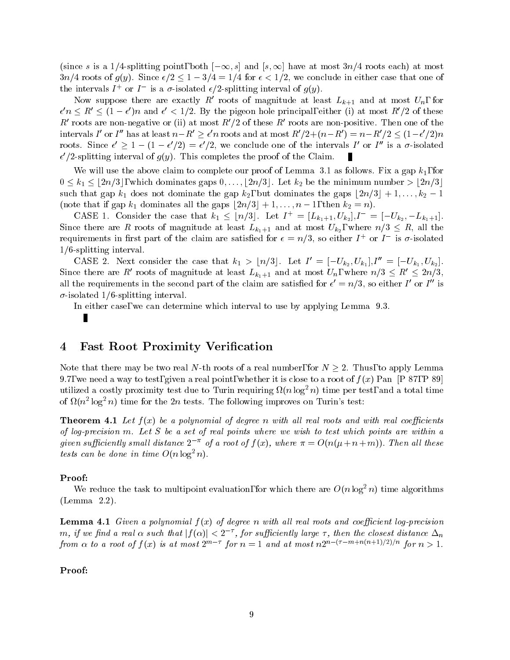(since s is a 1/4-splitting point, both  $[-\infty, s]$  and  $[s,\infty]$  have at most  $3n/4$  roots each) at most  $3n/4$  roots of  $g(y)$ . Since  $\epsilon/2 \leq 1 - 3/4 = 1/4$  for  $\epsilon < 1/2$ , we conclude in either case that one of the intervals  $I + 0I$  is a  $\sigma$ -isolated  $\epsilon / 2$ -splitting interval of  $q(y)$ .

Now suppose there are exactly  $R_1$  roots of magnitude at least  $L_{k+1}$  and at most  $U_n$ , for  $\epsilon' n \leq R' \leq (1-\epsilon')n$  and  $\epsilon' < 1/2$ . By the pigeon hole principal, either (i) at most  $R'/2$  of these R' roots are non-negative or (ii) at most  $R'/2$  of these R' roots are non-positive. Then one of the intervals I' or I'' has at least  $n-R' \geq \epsilon' n$  roots and at most  $R'/2 + (n-R') = n - R'/2 \leq (1-\epsilon'/2)n$ roots. Since  $\epsilon' \geq 1 - (1 - \epsilon'/2) = \epsilon'/2$ , we conclude one of the intervals I' or I'' is a  $\sigma$ -isolated  $\epsilon$  /2-splitting interval of  $q(y)$ . This completes the proof of the Claim.

We will use the above claim to complete our proof of Lemma 3.1 as follows. Fix a gap  $k_1$ , for  $0 \leq k_1 \leq \lfloor 2n/3 \rfloor$ , which dominates gaps  $0,\ldots,\lfloor 2n/3 \rfloor$ . Let  $k_2$  be the minimum number  $> \lfloor 2n/3 \rfloor$ . such that gap  $k_1$  does not dominate the gap  $k_2$ , but dominates the gaps  $\lfloor 2n/3 \rfloor + 1, \ldots, k_2 - 1$ (note that if gap  $k_1$  dominates all the gaps  $\lfloor 2n/3 \rfloor + 1,\ldots,n - 1$ , then  $k_2 = n$ ).

CASE 1. Consider the case that  $k_1 \leq \lfloor n/3 \rfloor$ . Let  $I^+ = [L_{k_1+1}, U_{k_2}], I^- = [-U_{k_2}, -L_{k_1+1}].$ Since there are R roots of magnitude at least  $L_{k_1+1}$  and at most  $U_{k_2}$ , where  $n/3 \leq R$ , all the requirements in first part of the claim are satisfied for  $\epsilon = n/3$ , so either I  $^+$  or I  $^-$  is  $\sigma$ -isolated  $1/6$ -splitting interval.

CASE 2. Next consider the case that  $k_1 > \lfloor n/3 \rfloor$ . Let  $I' = \lfloor -U_{k_2}, U_{k_1} \rfloor, I'' = \lfloor -U_{k_1}, U_{k_2} \rfloor$ . Since there are R' roots of magnitude at least  $L_{k_1+1}$  and at most  $U_n$ , where  $n/3 \leq R' \leq 2n/3$ , an the requirements in the second part of the claim are satisfied for  $\epsilon \equiv n/3,$  so either I or I is  $\sigma$ -isolated 1/6-splitting interval.

In either case, we can determine which interval to use by applying Lemma 9.3.

П

## 4 Fast Root Proximity Verification

Note that there may be two real N-th roots of a real number, for  $N \geq 2$ . Thus, to apply Lemma 9.7, we need a way to test, given a real point, whether it is close to a root of  $f(x)$  Pan [P 87, P 89] utilized a costly proximity test que to Turin requiring  $\Omega(n \log^2 n)$  time per test, and a total time of  $\Omega(n^2 \log^2 n)$  time for the 2n tests. The following improves on Turin's test:

**Theorem 4.1** Let  $f(x)$  be a polynomial of degree n with all real roots and with real coefficients of log-precision m. Let S be a set of real points where we wish to test which points are within a given sufficiently small distance  $2^{-\pi}$  of a root of  $f(x)$ , where  $\pi = O(n(\mu + n + m))$ . Then all these tests can be done in time  $O(n \log^2 n)$ .

#### Proof:

We reduce the task to multipoint evaluation, for which there are  $O(n \log^2 n)$  time algorithms (Lemma 2.2).

**Lemma 4.1** Given a polynomial  $f(x)$  of degree n with all real roots and coefficient log-precision m, if we find a real  $\alpha$  such that  $|f(\alpha)| < 2^{-\tau}$ , for sufficiently large  $\tau$ , then the closest distance  $\Delta_n$ , for such that is not such that is not such that is not such that is not such that is not such that  $\mathbf{u}_i$ from  $\alpha$  to a root of f(x) is at most 2 for  $n = 1$  and at most  $nz$  is the extra for  $n > 1$ .

#### Proof: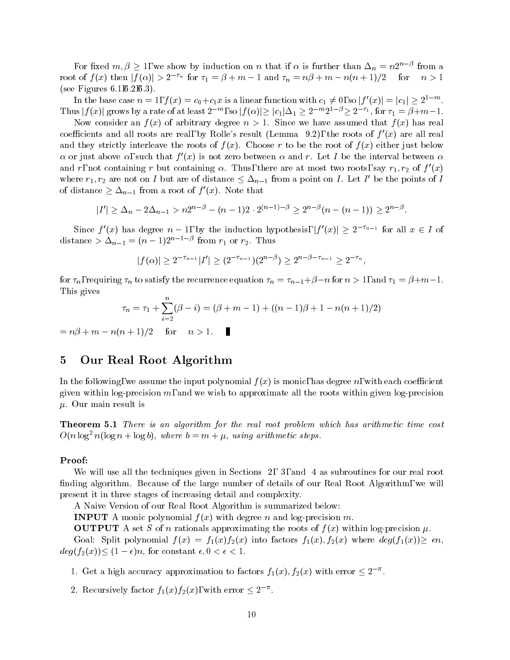For fixed  $m, \beta \geq 1$ , we show by induction on n that if  $\alpha$  is further than  $\Delta_n = n2^{n-\beta}$  from a root of  $f(x)$  then  $|f(\alpha)| > 2^{-\tau_n}$  for  $\tau_1 = \beta + m - 1$  and  $\tau_n = n\beta + m - n(n + 1)/2$  for  $n > 1$ (see Figures 6.1,6.2,6.3).

In the base case  $n=1,$   $f(x)=c_0+c_1x$  is a linear function with  $c_1\neq 0,$  so  $|f'(x)|=|c_1|\geq 2^{1-m}.$ Thus  $|f(x)|$  grows by a rate of at least  $2^{-m}$ , so  $|f(\alpha)| \ge |c_1|\Delta_1 \ge 2^{-m}2^{1-\beta} \ge 2^{-\tau_1}$ , for  $\tau_1 = \beta+m-1$ .

Now consider an  $f(x)$  of arbitrary degree  $n > 1$ . Since we have assumed that  $f(x)$  has real coefficients and all roots are real, by Rolle's result (Lemma 9.2), the roots of  $f'(x)$  are all real and they strictly interleave the roots of  $f(x)$ . Choose r to be the root of  $f(x)$  either just below  $\alpha$  or just above  $\alpha$ , such that  $f'(x)$  is not zero between  $\alpha$  and r. Let I be the interval between  $\alpha$ and r, not containing r but containing  $\alpha$ . Thus, there are at most two roots, say  $r_1, r_2$  of  $f$  (x) where  $r_1, r_2$  are not on I but are of distance  $\leq \Delta_{n-1}$  from a point on I. Let I' be the points of I of distance  $\geq \Delta_{n-1}$  from a root of  $f'(x)$ . Note that

$$
|I'| \geq \Delta_n - 2\Delta_{n-1} > n2^{n-\beta} - (n-1)2 \cdot 2^{(n-1)-\beta} \geq 2^{n-\beta}(n-(n-1)) \geq 2^{n-\beta}.
$$

Since  $f'(x)$  has degree  $n-1$ , by the induction hypothesis,  $|f'(x)| \geq 2^{-\tau_{n-1}}$  for all  $x \in I$  of distance  $\geq \Delta_{n-1} = (n-1)Z$  and  $r_1$  or  $r_2$ . Thus

$$
|f(\alpha)| \geq 2^{-\tau_{n-1}}|I'| \geq (2^{-\tau_{n-1}})(2^{n-\beta}) \geq 2^{n-\beta-\tau_{n-1}} \geq 2^{-\tau_n},
$$

for  $n_n$ , requiring  $n_n$  to satisfy the recurrence equation  $n_n = n_{n-1} + p - n$  for  $n > 1$ , and  $n_1 = p + m - 1$ . This gives

$$
\tau_n = \tau_1 + \sum_{i=2}^n (\beta - i) = (\beta + m - 1) + ((n - 1)\beta + 1 - n(n + 1)/2)
$$

$$
= n\beta + m - n(n + 1)/2 \quad \text{for} \quad n > 1. \quad \blacksquare
$$

## 5 Our Real Root Algorithm

In the following, we assume the input polynomial  $f(x)$  is monic, has degree n, with each coefficient given within log-precision  $m$ , and we wish to approximate all the roots within given log-precision  $\mu$ . Our main result is

Theorem 5.1 There is an algorithm for the real root problem which has arithmetic time cost  $O(n \log^2 n(\log n + \log b))$ , where  $b = m + \mu$ , using arithmetic steps.

## Proof:

We will use all the techniques given in Sections 2, 3, and 4 as subroutines for our real root finding algorithm. Because of the large number of details of our Real Root Algorithm, we will present it in three stages of increasing detail and complexity.

A Naive Version of our Real Root Algorithm is summarized below:

**INPUT** A monic polynomial  $f(x)$  with degree n and log-precision m.

**OUTPUT** A set S of n rationals approximating the roots of  $f(x)$  within log-precision  $\mu$ .

Goal: Split polynomial  $f(x) = f_1(x)f_2(x)$  into factors  $f_1(x), f_2(x)$  where  $deg(f_1(x)) \geq \epsilon n$ ,  $deg(f_2(x)) \leq (1 - \epsilon)n$ , for constant  $\epsilon, 0 < \epsilon < 1$ .

- 1. Get a high accuracy approximation to factors  $f_1(x)$ ,  $f_2(x)$  with error  $\leq 2^{-\pi}$ .
- 2. Recursively factor  $f_1(x)f_2(x)$ , with error  $\leq 2^{-\pi}$ .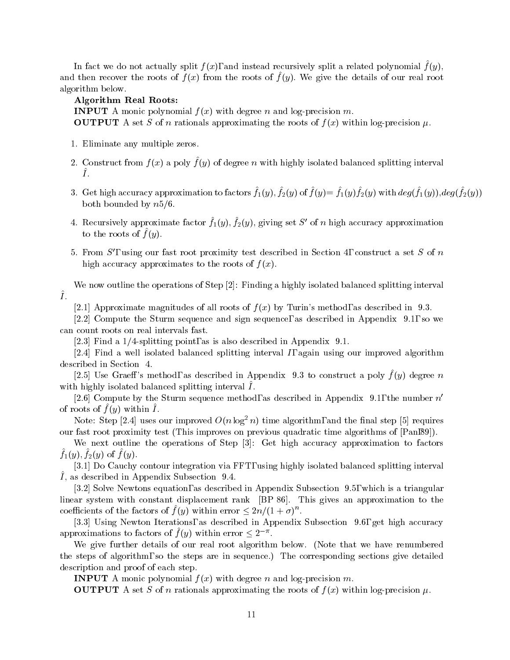In fact we do not actually split  $f(x)$ , and instead recursively split a related polynomial  $f(y)$ , and then recover the roots of  $f(x)$  from the roots of  $f(y)$ . We give the details of our real root algorithm below.

## Algorithm Real Roots:

**INPUT** A monic polynomial  $f(x)$  with degree n and log-precision m. **OUTPUT** A set S of n rationals approximating the roots of  $f(x)$  within log-precision  $\mu$ .

- 1. Eliminate any multiple zeros.
- 2. Construct from  $f(x)$  a poly  $f(y)$  of degree  $u$  with highly isolated balanced splitting interval  $\hat{I}$ .
- $\sigma$ . Get high accuracy approximation to factors  $f_1(y), f_2(y)$  or  $f_1(y)=f_1(y)f_2(y)$  with  $aeg(f_1(y)), aeg(f_2(y))$ both bounded by  $n5/6$ .
- 4. Recursively approximate factor  $f_1(y)$ ,  $f_2(y)$ , giving set S of n high accuracy approximation to the roots of  $f(y)$ .
- 5. From  $S'$ , using our fast root proximity test described in Section 4, construct a set S of n high accuracy approximates to the roots of  $f(x)$ .

We now outline the operations of Step [2]: Finding a highly isolated balanced splitting interval  $\hat{I}$ .

[2.1] Approximate magnitudes of all roots of  $f(x)$  by Turin's method, as described in 9.3.

[2.2] Compute the Sturm sequence and sign sequence, as described in Appendix 9.1, so we can count roots on real intervals fast.

[2.3] Find a  $1/4$ -splitting point, as is also described in Appendix 9.1.

[2.4] Find a well isolated balanced splitting interval  $I$ , again using our improved algorithm described in Section 4.

[2.5] Use Graeff's method, as described in Appendix 9.3 to construct a poly  $f(y)$  degree n with highly isolated balanced splitting interval  $I$ .

[2.6] Compute by the Sturm sequence method, as described in Appendix 9.1, the number  $n'$ of roots of  $f(y)$  within  $\overline{I}$ .

Note: Step [2.4] uses our improved  $O(n \log^2 n)$  time algorithm, and the final step [5] requires our fast root proximity test (This improves on previous quadratic time algorithms of [Pan,89]).

We next outline the operations of Step [3]: Get high accuracy approximation to factors  $f_1(y)$ ;  $f_2(y)$  of  $f(y)$ .

[3.1] Do Cauchy contour integration via FFT, using highly isolated balanced splitting interval  $I$ , as described in Appendix Subsection  $J.4$ .

[3.2] Solve Newtons equation, as described in Appendix Subsection 9.5, which is a triangular linear system with constant displacement rank [BP 86]. This gives an approximation to the coefficients of the factors of  $f(y)$  within error  $\leq 2n/(1 + \sigma)^n$ .

[3.3] Using Newton Iterations, as described in Appendix Subsection 9.6, get high accuracy approximations to factors of  $f(y)$  within error  $\leq 2^{-\pi}$ .

We give further details of our real root algorithm below. (Note that we have renumbered the steps of algorithm, so the steps are in sequence.) The corresponding sections give detailed description and proof of each step.

**INPUT** A monic polynomial  $f(x)$  with degree n and log-precision m.

**OUTPUT** A set S of n rationals approximating the roots of  $f(x)$  within log-precision  $\mu$ .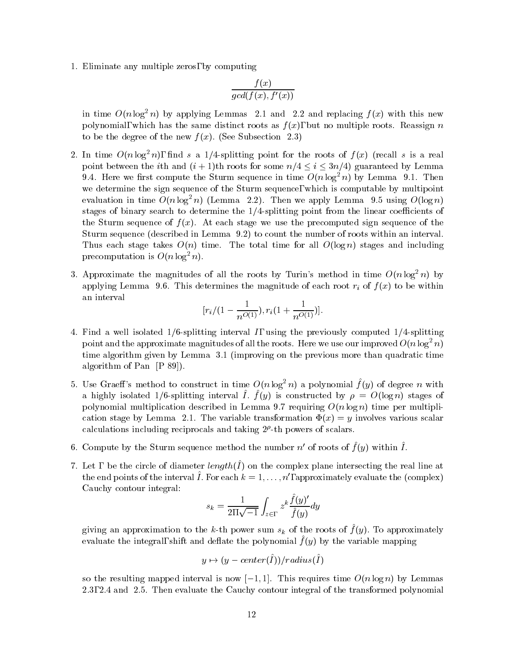1. Eliminate any multiple zeros, by computing

$$
\frac{f(x)}{gcd(f(x),f'(x))}
$$

in time  $O(n \log^2 n)$  by applying Lemmas 2.1 and 2.2 and replacing  $f(x)$  with this new polynomial, which has the same distinct roots as  $f(x)$ , but no multiple roots. Reassign n to be the degree of the new  $f(x)$ . (See Subsection 2.3)

- 2. In time  $O(n \log^2 n)$ , find s a 1/4-splitting point for the roots of  $f(x)$  (recall s is a real point between the *i*th and  $(i + 1)$ th roots for some  $n/4 \le i \le 3n/4$ ) guaranteed by Lemma 9.4. Here we first compute the Sturm sequence in time  $O(n \log^2 n)$  by Lemma 9.1. Then we determine the sign sequence of the Sturm sequence, which is computable by multipoint evaluation in time  $O(n \log^2 n)$  (Lemma 2.2). Then we apply Lemma 9.5 using  $O(\log n)$ stages of binary search to determine the  $1/4$ -splitting point from the linear coefficients of the Sturm sequence of  $f(x)$ . At each stage we use the precomputed sign sequence of the Sturm sequence (described in Lemma 9.2) to count the number of roots within an interval. Thus each stage takes  $O(n)$  time. The total time for all  $O(\log n)$  stages and including precomputation is  $O(n \log^2 n)$ .
- 3. Approximate the magnitudes of all the roots by Turin's method in time  $O(n \log^2 n)$  by applying Lemma 9.6. This determines the magnitude of each root right  $\mu$  to  $\mu$  to  $\mu$  to be within  $\mu$ an interval

$$
[r_i/(1-\frac{1}{n^{O(1)}}), r_i(1+\frac{1}{n^{O(1)}})].
$$

- 4. Find a well isolated  $1/6$ -splitting interval I, using the previously computed  $1/4$ -splitting point and the approximate magnitudes of all the roots. Here we use our improved  $O(n \log^2 n)$ time algorithm given by Lemma 3.1 (improving on the previous more than quadratic time algorithm of Pan [P 89]).
- 5. Use Graeff's method to construct in time  $O(n \log^2 n)$  a polynomial  $f(y)$  of degree n with a highly isolated 1/0-splitting interval 1.  $f(y)$  is constructed by  $p = O(\log n)$  stages of polynomial multiplication described in Lemma 9.7 requiring  $O(n \log n)$  time per multiplication stage by Lemma 2.1. The variable transformation  $\Phi(x) = y$  involves various scalar calculations including reciprocals and taking 2 -th powers of scalars.
- 6. Compute by the Sturm sequence method the number  $n$  of roots of  $f(y)$  within  $I$ .
- $\tau$ . Let  $\tau$  be the circle of diameter  $\iota \iota \iota \iota \iota \iota \iota \iota \iota$  on the complex plane intersecting the real line at the end points of the interval 1. For each  $\kappa = 1,\ldots,n$  , approximately evaluate the (complex) Cauchy contour integral:

$$
s_k = \frac{1}{2\Pi\sqrt{-1}}\int_{z\in\Gamma} z^k \frac{\hat{f}(y)'}{\hat{f}(y)}dy
$$

giving an approximation to the k-th power sum  $s_k$  or the roots or  $f(y)$ . To approximately  $\alpha$ aluate the integral, shift and deflate the polynomial  $\mu(y)$  by the variable mapping

$$
y \mapsto (y - center(\hat{I})) / radius(\hat{I})
$$

so the resulting mapped interval is now  $[-1, 1]$ . This requires time  $O(n \log n)$  by Lemmas 2.3, 2.4 and 2.5. Then evaluate the Cauchy contour integral of the transformed polynomial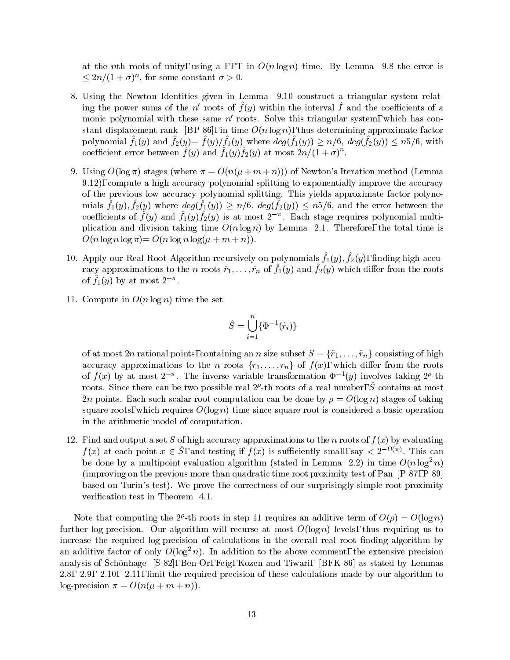at the nth roots of unity, using a FFT in  $O(n \log n)$  time. By Lemma 9.8 the error is  $\leq 2n/(1 + \sigma)^n$ , for some constant  $\sigma > 0$ .

- 8. Using the Newton Identities given in Lemma 9.10 construct a triangular system relating the power sums of the  $n$  -roots of  $f(y)$  within the interval  $I$  and the coefficients of a monic polynomial with these same  $n'$  roots. Solve this triangular system, which has constant displacement rank [BP 86], in time  $O(n \log n)$ , thus determining approximate factor polynomial  $f_1(y)$  and  $f_2(y)= f(y)/f_1(y)$  where  $deg(f_1(y)) \geq n/6$ ,  $deg(f_2(y)) \leq n/6$ , with coefficient error between  $f(y)$  and  $f_1(y) f_2(y)$  at most  $2n/(1 + \sigma)^{n}$ .
- 9. Using  $O(\log \pi)$  stages (where  $\pi = O(n(\mu + m + n)))$ ) of Newton's Iteration method (Lemma 9.12), compute a high accuracy polynomial splitting to exponentially improve the accuracy of the previous low accuracy polynomial splitting. This yields approximate factor polynomials  $f_1(y)$ ,  $f_2(y)$  where  $deg(f_1(y)) \ge n/6$ ,  $deg(f_2(y)) \le n/6$ , and the error between the coefficients of  $f(y)$  and  $f_1(y) f_2(y)$  is at most 2  $\degree$ . Each stage requires polynomial multiplication and division taking time  $O(n \log n)$  by Lemma 2.1. Therefore, the total time is  $O(n \log n \log \pi) = O(n \log n \log(\mu + m + n)).$
- 10. Apply our Real Root Algorithm recursively on polynomials  $f_1(y), f_2(y),$  miding high accuracy approximations to the *n* roots  $r_1,\ldots,r_n$  or  $f_1(y)$  and  $f_2(y)$  which differ from the roots of  $f_1(y)$  by at most  $2$   $\ldots$
- 11. Compute in  $O(n \log n)$  time the set

$$
\hat{S}=\bigcup_{i=1}^n\{\Phi^{-1}(\tilde{r}_i)\}
$$

of at most 2n rational points, containing an n size subset  $S = {\tilde{r}_1, \ldots, \tilde{r}_n}$  consisting of high accuracy approximations to the n roots  $\{r_1,\ldots,r_n\}$  of  $f(x)$ , which differ from the roots of  $f(x)$  by at most  $2^{-n}$ . The inverse variable transformation  $\Psi^{-1}(y)$  involves taking  $2^{n}$ -th roots. Since there can be two possible real  $2^{\kappa}$ -th roots of a real number,  $S$  contains at most 2n points. Each such scalar root computation can be done by  $\rho = O(\log n)$  stages of taking square roots, which requires  $O(\log n)$  time since square root is considered a basic operation in the arithmetic model of computation.

12. Find and output a set S of high accuracy approximations to the n roots of  $f(x)$  by evaluating  $f(x)$  at each point  $x \in S$ , and testing if  $f(x)$  is sufficiently small, say  $\langle 2^{-\alpha \lambda(x)}, 1 \rangle$  This can be done by a multipoint evaluation algorithm (stated in Lemma 2.2) in time  $O(n \log^2 n)$ (improving on the previous more than quadratic time root proximity test of Pan [P 87, P 89] based on Turin's test). We prove the correctness of our surprisingly simple root proximity verification test in Theorem 4.1.

Note that computing the  $2^k$ -th roots in step 11 requires an additive term of  $O(\rho) = O(\log n)$ further log-precision. Our algorithm will recurse at most  $O(\log n)$  levels, thus requiring us to increase the required log-precision of calculations in the overall real root finding algorithm by an additive factor of only  $O(\log^2 n)$ . In addition to the above comment, the extensive precision analysis of Schonhage [S 82], Ben-Or, Feig, Kozen and Tiwari, [BFK 86] as stated by Lemmas 2.8, 2.9, 2.10, 2.11, limit the required precision of these calculations made by our algorithm to log-precision  $\pi = O(n(\mu + m + n)).$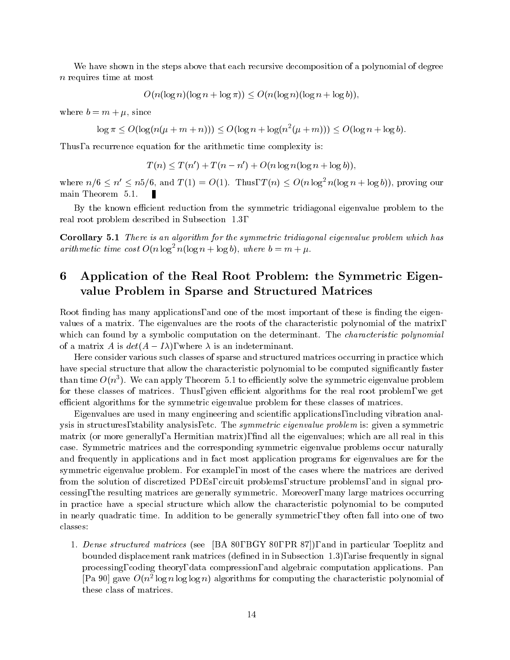We have shown in the steps above that each recursive decomposition of a polynomial of degree n requires time at most

$$
O(n(\log n)(\log n + \log \pi)) \le O(n(\log n)(\log n + \log b)),
$$

where  $b = m + \mu$ , since

$$
\log \pi \le O(\log(n(\mu+m+n))) \le O(\log n + \log(n^2(\mu+m))) \le O(\log n + \log b).
$$

Thus, a recurrence equation for the arithmetic time complexity is:

$$
T(n) \le T(n') + T(n - n') + O(n \log n(\log n + \log b)),
$$

where  $n/6 \leq n' \leq n5/6$ , and  $T (1) = O(1)$ . Thus,  $T (n) \leq O(n \log^2 n(\log n + \log b))$ , proving our main Theorem 5.1.

By the known efficient reduction from the symmetric tridiagonal eigenvalue problem to the real root problem described in Subsection 1.3,

Corollary 5.1 There is an algorithm for the symmetric tridiagonal eigenvalue problem which has arithmetic time cost  $O(n \log^2 n (\log n + \log b))$ , where  $b = m + \mu$ .

# 6 Application of the Real Root Problem: the Symmetric Eigenvalue Problem in Sparse and Structured Matrices

Root finding has many applications, and one of the most important of these is finding the eigenvalues of a matrix. The eigenvalues are the roots of the characteristic polynomial of the matrix, which can found by a symbolic computation on the determinant. The *characteristic polynomial* of a matrix A is  $det(A - I\lambda)$ , where  $\lambda$  is an indeterminant.

Here consider various such classes of sparse and structured matrices occurring in practice which have special structure that allow the characteristic polynomial to be computed significantly faster than time  $O(n^2)$ . We can apply Theorem 5.1 to efficiently solve the symmetric eigenvalue problem for these classes of matrices. Thus, given efficient algorithms for the real root problem, we get efficient algorithms for the symmetric eigenvalue problem for these classes of matrices.

Eigenvalues are used in many engineering and scientic applications, including vibration analysis in structures, stability analysis, etc. The symmetric eigenvalue problem is: given a symmetric matrix (or more generally, a Hermitian matrix), find all the eigenvalues; which are all real in this case. Symmetric matrices and the corresponding symmetric eigenvalue problems occur naturally and frequently in applications and in fact most application programs for eigenvalues are for the symmetric eigenvalue problem. For example, in most of the cases where the matrices are derived from the solution of discretized PDEs, circuit problems, structure problems, and in signal processing, the resulting matrices are generally symmetric. Moreover, many large matrices occurring in practice have a special structure which allow the characteristic polynomial to be computed in nearly quadratic time. In addition to be generally symmetric, they often fall into one of two classes:

1. Dense structured matrices (see [BA 80, BGY 80, PR 87]), and in particular Toeplitz and bounded displacement rank matrices (defined in in Subsection 1.3), arise frequently in signal processing, coding theory, data compression, and algebraic computation applications. Pan  $\lvert$ Pa 90 $\lvert$  gave  $O(n^2 \log n \log n)$  algorithms for computing the characteristic polynomial of these class of matrices.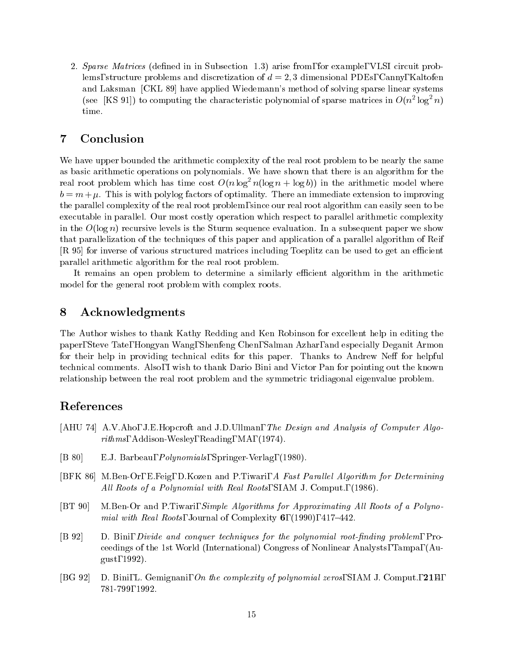2. Sparse Matrices (defined in in Subsection 1.3) arise from, for example, VLSI circuit problems, structure problems and discretization of  $d = 2, 3$  dimensional PDEs, Canny, Kaltofen and Laksman [CKL 89] have applied Wiedemann's method of solving sparse linear systems (see  $\lfloor K \rceil$  91) to computing the characteristic polynomial of sparse matrices in  $O(n^2 \log^2 n)$ time.

## 7 Conclusion

We have upper bounded the arithmetic complexity of the real root problem to be nearly the same as basic arithmetic operations on polynomials. We have shown that there is an algorithm for the real root problem which has time cost  $O(n \log^2 n(\log n + \log b))$  in the arithmetic model where  $b = m + \mu$ . This is with polylog factors of optimality. There an immediate extension to improving the parallel complexity of the real root problem, since our real root algorithm can easily seen to be executable in parallel. Our most costly operation which respect to parallel arithmetic complexity in the  $O(\log n)$  recursive levels is the Sturm sequence evaluation. In a subsequent paper we show that parallelization of the techniques of this paper and application of a parallel algorithm of Reif [R 95] for inverse of various structured matrices including Toeplitz can be used to get an efficient parallel arithmetic algorithm for the real root problem.

It remains an open problem to determine a similarly efficient algorithm in the arithmetic model for the general root problem with complex roots.

## 8 Acknowledgments

The Author wishes to thank Kathy Redding and Ken Robinson for excellent help in editing the paper, Steve Tate, Hongyan Wang, Shenfeng Chen, Salman Azhar, and especially Deganit Armon for their help in providing technical edits for this paper. Thanks to Andrew Neff for helpful technical comments. Also, I wish to thank Dario Bini and Victor Pan for pointing out the known relationship between the real root problem and the symmetric tridiagonal eigenvalue problem.

## References

- [AHU 74] A.V.Aho, J.E.Hopcroft and J.D.Ullman, The Design and Analysis of Computer Algorithms, Addison-Wesley, Reading, MA, (1974).
- [B 80] E.J. Barbeau, Polynomials, Springer-Verlag, (1980).
- [BFK 86] M.Ben-Or, E.Feig, D.Kozen and P.Tiwari, A Fast Parallel Algorithm for Determining All Roots of a Polynomial with Real Roots, SIAM J. Comput., (1986).
- [BT 90] M.Ben-Or and P.Tiwari, *Simple Algorithms for Approximating All Roots of a Polyno*mial with Real Roots, Journal of Complexity  $6$ , (1990), 417-442.
- [B 92] D. Bini, *Divide and conquer techniques for the polynomial root-finding problem*, Proceedings of the 1st World (International) Congress of Nonlinear Analysts, Tampa, (August, 1992).
- [BG 92] D. Bini, L. Gemignani, On the complexity of polynomial zeros, SIAM J. Comput., 21,4, 781-799, 1992.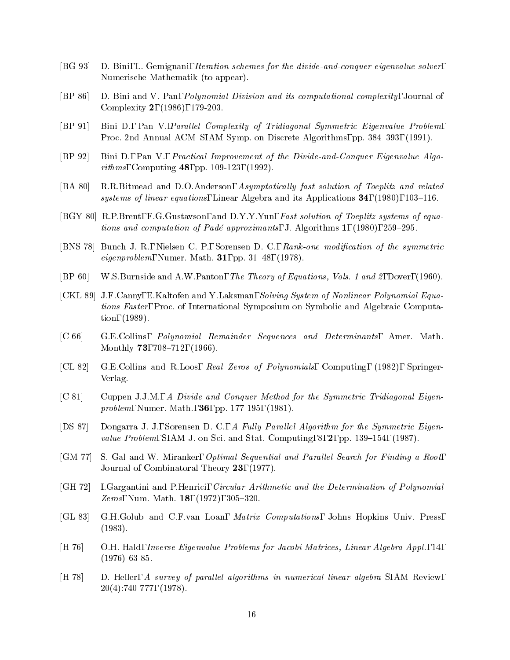- [BG 93] D. Bini, L. Gemignani, Iteration schemes for the divide-and-conquer eigenvalue solver, Numerische Mathematik (to appear).
- [BP 86] D. Bini and V. Pan, Polynomial Division and its computational complexity, Journal of Complexity 2, (1986), 179-203.
- [BP 91] Bini D., Pan V., Parallel Complexity of Tridiagonal Symmetric Eigenvalue Problem, Proc. 2nd Annual ACM-SIAM Symp. on Discrete Algorithms, pp. 384-393, (1991).
- [BP 92] Bini D., Pan V., Practical Improvement of the Divide-and-Conquer Eigenvalue Algorithms, Computing 48, pp. 109-123, (1992).
- [BA 80] R.R.Bitmead and D.O.Anderson, Asymptotically fast solution of Toeplitz and related systems of linear equations, Linear Algebra and its Applications  $34$ , (1980), 103–116.
- [BGY 80] R.P.Brent, F.G.Gustavson, and D.Y.Y.Yun, Fast solution of Toeplitz systems of equations and computation of Padé approximants, J. Algorithms 1,  $(1980)$ , 259-295.
- [BNS 78] Bunch J. R., Nielsen C. P., Sorensen D. C., Rank-one modification of the symmetric *eigenproblem*, Numer. Math. **31**, pp. 31–48,  $(1978)$ .
- [BP 60] W.S.Burnside and A.W.Panton, The Theory of Equations, Vols. 1 and 2, Dover, (1960).
- [CKL 89] J.F.Canny, E.Kaltofen and Y.Laksman, Solving System of Nonlinear Polynomial Equations Faster, Proc. of International Symposium on Symbolic and Algebraic Computation, (1989).
- [C 66] G.E.Collins, Polynomial Remainder Sequences and Determinants, Amer. Math. Monthly **73**, 708-712, (1966).
- [CL 82] G.E.Collins and R.Loos, Real Zeros of Polynomials, Computing, (1982), Springer-Verlag.
- [C 81] Cuppen J.J.M., A Divide and Conquer Method for the Symmetric Tridiagonal Eigenproblem, Numer. Math., 36, pp. 177-195, (1981).
- [DS 87] Dongarra J. J., Sorensen D. C., A Fully Parallel Algorithm for the Symmetric Eigenvalue Problem, SIAM J. on Sci. and Stat. Computing,  $8$ ,  $2$ , pp. 139–154, (1987).
- [GM 77] S. Gal and W. Miranker, *Optimal Sequential and Parallel Search for Finding a Root*, Journal of Combinatoral Theory 23, (1977).
- [GH 72] I.Gargantini and P.Henrici, Circular Arithmetic and the Determination of Polynomial Zeros, Num. Math.  $18, (1972), 305-320.$
- [GL 83] G.H.Golub and C.F.van Loan, Matrix Computations, Johns Hopkins Univ. Press, (1983).
- [H 76] O.H. Hald, Inverse Eigenvalue Problems for Jacobi Matrices, Linear Algebra Appl., 14, (1976) 63-85.
- [H 78] D. Heller, A survey of parallel algorithms in numerical linear algebra SIAM Review, 20(4):740-777, (1978).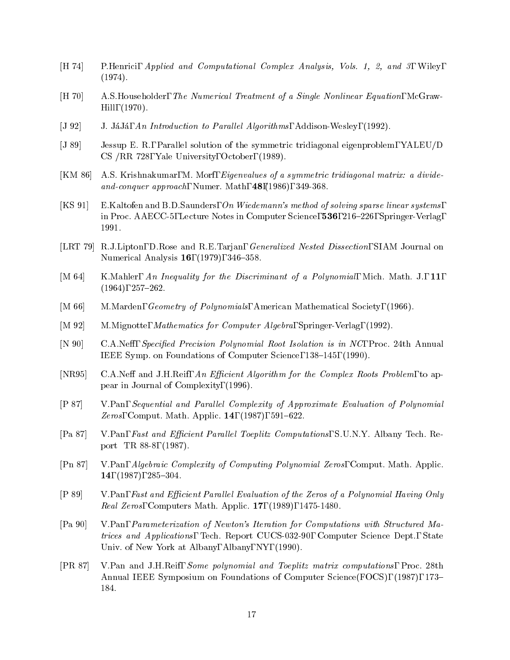- [H 74] P.Henrici, Applied and Computational Complex Analysis, Vols. 1, 2, and 3, Wiley, (1974).
- [H 70] A.S.Householder, The Numerical Treatment of a Single Nonlinear Equation, McGraw-Hill, (1970).
- [J 92] J. JáJá, An Introduction to Parallel Algorithms, Addison-Wesley, (1992).
- [J 89] Jessup E. R., Parallel solution of the symmetric tridiagonal eigenproblem, YALEU/D CS /RR 728, Yale University, October, (1989).
- [KM 86] A.S. Krishnakumar, M. Morf, Eigenvalues of a symmetric tridiagonal matrix: a divideand-conquer approach, Numer. Math,  $48,(1986), 349-368$ .
- [KS 91] E.Kaltofen and B.D.Saunders, On Wiedemann's method of solving sparse linear systems, in Proc. AAECC-5, Lecture Notes in Computer Science, 536, 216-226, Springer-Verlag, 1991.
- [LRT 79] R.J.Lipton, D.Rose and R.E.Tarjan, Generalized Nested Dissection, SIAM Journal on Numerical Analysis 16, (1979), 346-358.
- [M 64] K.Mahler, An Inequality for the Discriminant of a Polynomial, Mich. Math. J., 11,  $(1964), 257-262.$
- [M 66] M.Marden, Geometry of Polynomials, American Mathematical Society, (1966).
- [M 92] M.Mignotte, *Mathematics for Computer Algebra*, Springer-Verlag, (1992).
- [N 90] C.A.Neff, Specified Precision Polynomial Root Isolation is in NC, Proc. 24th Annual IEEE Symp. on Foundations of Computer Science, 138–145, (1990).
- [NR95] C.A.Neff and J.H.Reif, An Efficient Algorithm for the Complex Roots Problem, to appear in Journal of Complexity, (1996).
- [P 87] V.Pan, Sequential and Paral lel Complexity of Approximate Evaluation of Polynomial *Zeros*, Comput. Math. Applic. **14**,  $(1987)$ , 591-622.
- [Pa 87] V.Pan, Fast and Efficient Parallel Toeplitz Computations, S.U.N.Y. Albany Tech. Report TR 88-8, (1987).
- [Pn 87] V.Pan, Algebraic Complexity of Computing Polynomial Zeros, Comput. Math. Applic. 14, (1987), 285-304.
- [P 89] V.Pan, Fast and Efficient Parallel Evaluation of the Zeros of a Polynomial Having Only Real Zeros, Computers Math. Applic. 17, (1989), 1475-1480.
- [Pa 90] V.Pan, Parameterization of Newton's Iteration for Computations with Structured Matrices and Applications, Tech. Report CUCS-032-90, Computer Science Dept., State Univ. of New York at Albany, Albany, NY, (1990).
- [PR 87] V.Pan and J.H.Reif, Some polynomial and Toeplitz matrix computations, Proc. 28th Annual IEEE Symposium on Foundations of Computer Science(FOCS), (1987), 173– 184.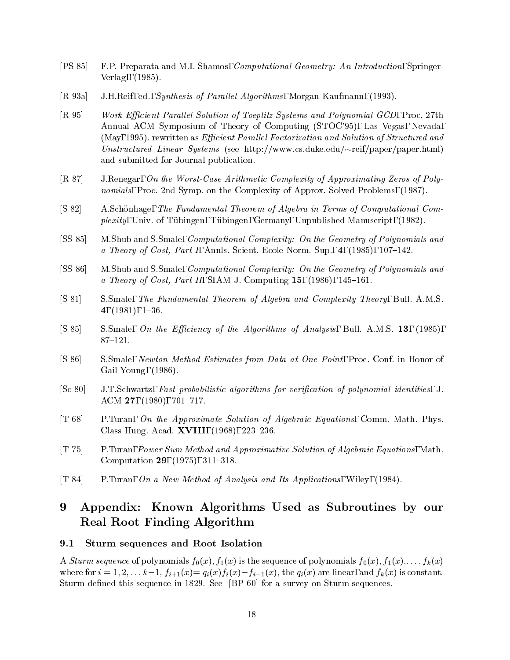- [PS 85] F.P. Preparata and M.I. Shamos, Computational Geometry: An Introduction, Springer-Verlag,, (1985).
- [R 93a] J.H.Reif, ed., *Synthesis of Parallel Algorithms*, Morgan Kaufmann, (1993).
- [R 95] Work Efficient Parallel Solution of Toeplitz Systems and Polynomial GCD, Proc. 27th Annual ACM Symposium of Theory of Computing (STOC'95), Las Vegas, Nevada, (May, 1995). rewritten as *Efficient Parallel Factorization and Solution of Structured and* Unstructured Linear Systems (see http://www.cs.duke.edu/ $\sim$ reif/paper/paper.html) and submitted for Journal publication.
- [R 87] J.Renegar, On the Worst-Case Arithmetic Complexity of Approximating Zeros of Polynomials, Proc. 2nd Symp. on the Complexity of Approx. Solved Problems, (1987).
- [S 82] A.Schonhage, The Fundamental Theorem of Algebra in Terms of Computational Complexity, Univ. of Tubingen, Tubingen, Germany, Unpublished Manuscript, (1982).
- [SS 85] M.Shub and S.Smale, Computational Complexity: On the Geometry of Polynomials and a Theory of Cost, Part I, Annls. Scient. Ecole Norm. Sup.,  $4$ , (1985), 107-142.
- [SS 86] M.Shub and S.Smale, Computational Complexity: On the Geometry of Polynomials and a Theory of Cost, Part II, SIAM J. Computing  $15$ ,  $(1986)$ ,  $145-161$ .
- [S 81] S.Smale, The Fundamental Theorem of Algebra and Complexity Theory, Bull. A.M.S. 4,  $(1981)$ ,  $1–36$ .
- [S 85] S.Smale, On the Efficiency of the Algorithms of Analysis, Bull. A.M.S. 13, (1985),  $87-121.$
- [S 86] S.Smale, Newton Method Estimates from Data atOne Point, Proc. Conf. in Honor of Gail Young, (1986).
- [Sc 80] J.T.Schwartz, Fast probabilistic algorithms for verication of polynomial identities, J. ACM 27,  $(1980)$ , 701-717.
- [T 68] P.Turan, On the Approximate Solution of Algebraic Equations, Comm. Math. Phys. Class Hung. Acad. **XVIII**, (1968), 223-236.
- [T 75] P.Turan, Power Sum Method and Approximative Solution of Algebraic Equations, Math. Computation 29,  $(1975)$ ,  $311-318$ .
- [T 84] P.Turan, On a New Method of Analysis and Its Applications, Wiley, (1984).

## 9 Appendix: Known Algorithms Used as Subroutines by our Real Root Finding Algorithm

## 9.1 Sturm sequences and Root Isolation

A Sturm sequence of polynomials  $f_0(x), f_1(x)$  is the sequence of polynomials  $f_0(x), f_1(x),\ldots, f_k(x)$ where for  $i = 1, 2, \ldots k-1$ ,  $f_{i+1}(x) = q_i(x)f_i(x) - f_{i-1}(x)$ , the  $q_i(x)$  are linear, and  $f_k(x)$  is constant. Sturm defined this sequence in 1829. See [BP 60] for a survey on Sturm sequences.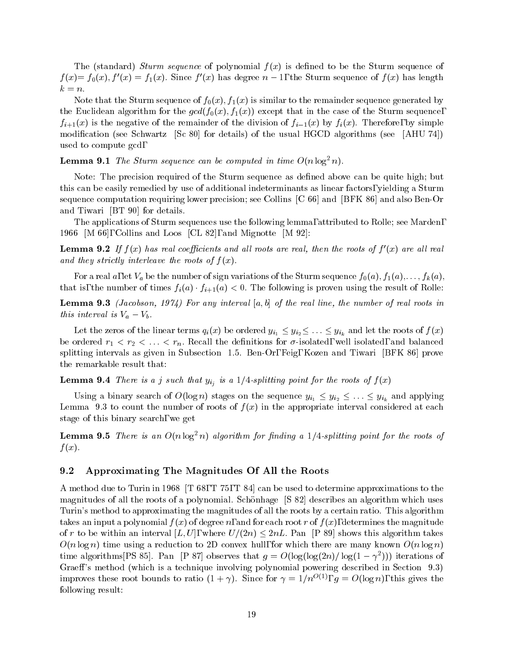The (standard) Sturm sequence of polynomial  $f(x)$  is defined to be the Sturm sequence of  $f(x) = f_0(x), f'(x) = f_1(x)$ . Since  $f'(x)$  has degree  $n-1$ , the Sturm sequence of  $f(x)$  has length  $k = n$ .

Note that the Sturm sequence of  $f_0(x)$ ,  $f_1(x)$  is similar to the remainder sequence generated by the Euclidean algorithm for the group  $\mu$  (for  $\mu$ ); finitely except that in the Sturm sequence,  $\mu$  $f_{i+1}(x)$  is the negative of the remainder of the division of  $f_{i-1}(x)$  by  $f_i(x)$ . Therefore, by simple modication (see Schwartz [Sc 80] for details) of the usual HGCD algorithms (see [AHU 74]) used to compute gcd,

**Lemma 9.1** The Sturm sequence can be computed in time  $O(n \log^2 n)$ .

Note: The precision required of the Sturm sequence as defined above can be quite high; but this can be easily remedied by use of additional indeterminants as linear factors, yielding a Sturm sequence computation requiring lower precision; see Collins [C 66] and [BFK 86] and also Ben-Or and Tiwari [BT 90] for details.

The applications of Sturm sequences use the following lemma, attributed to Rolle; see Marden, 1966 [M 66], Collins and Loos [CL 82], and Mignotte [M 92]:

**Lemma 9.2** If  $f(x)$  has real coefficients and all roots are real, then the roots of  $f'(x)$  are all real and they strictly interleave the roots of  $f(x)$ .

For a real a, let  $\Gamma$  and the number of sign variations of the Sturm sequence for the Sturm sequence for the S that is, the number of times  $f_i(a) \cdot f_{i+1}(a) < 0$ . The following is proven using the result of Rolle:

**Lemma 9.3** (Jacobson, 1974) For any interval  $[a, b]$  of the real line, the number of real roots in this interval is  $v_a - v_b$ .

Let the zeros of the linear terms  $q_i(x)$  be ordered  $y_{i_1} \leq y_{i_2} \leq \ldots \leq y_{i_k}$  and let the roots of  $f(x)$  $\alpha$  . If an extending the decreasing the decreasing for  $\alpha$  is an extending the decreasing the decreasing the decreasing the decreasing the decreasing the decreasing the decreasing the decreasing the decreasing the decr splitting intervals as given in Subsection 1.5. Ben-Or, Feig, Kozen and Tiwari [BFK 86] prove the remarkable result that:

**Lemma 9.4** There is a j such that  $y_{i_j}$  is a 1/4-splitting point for the roots of  $f(x)$ 

Using a binary search of  $O(\log n)$  stages on the sequence  $y_{i_1} \leq y_{i_2} \leq \ldots \leq y_{i_k}$  and applying Lemma 9.3 to count the number of roots of  $f(x)$  in the appropriate interval considered at each stage of this binary search, we get

**Lemma 9.5** There is an  $O(n \log^2 n)$  algorithm for finding a 1/4-splitting point for the roots of  $f(x)$ .

#### 9.2 Approximating The Magnitudes Of All the Roots

A method due to Turin in 1968 [T 68, T 75, T 84] can be used to determine approximations to the magnitudes of all the roots of a polynomial. Schönhage [S 82] describes an algorithm which uses Turin's method to approximating the magnitudes of all the roots by a certain ratio. This algorithm takes an input a polynomial  $f(x)$  of degree n, and for each root r of  $f(x)$ , determines the magnitude of r to be within an interval  $[L, U]$ , where  $U/(2n) \leq 2nL$ . Pan [P 89] shows this algorithm takes  $O(n \log n)$  time using a reduction to 2D convex hull, for which there are many known  $O(n \log n)$ time algorithms  $\ket{P}$  80). Pan  $\ket{P}$  87 observes that  $q = O(\log(\log(2n)/\log(1 - \gamma^2)))$  iterations of Graeff's method (which is a technique involving polynomial powering described in Section 9.3) improves these root bounds to ratio  $(1 + \gamma)$ . Since for  $\gamma = 1/n^{-(\gamma)}$ ,  $q = O(\log n)$ , this gives the following result: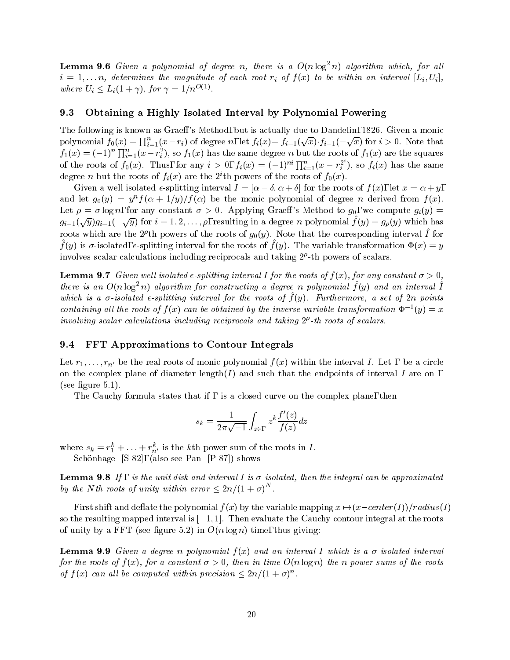**Lemma 9.6** Given a polynomial of degree n, there is a  $O(n \log^2 n)$  algorithm which, for all i = 1;:::n, determines the magnitude of each root ri of <sup>f</sup> (x) to be within an interval [Li; Ui ], where  $U_i \leq L_i(1+\gamma)$ , for  $\gamma = 1/n^{\mathcal{O}(1)}$ .

## 9.3 Obtaining a Highly Isolated Interval by Polynomial Powering

The following is known as Graeff's Method, but is actually due to Dandelin, 1826. Given a monic polynomial  $f_0(x) = \prod_{i=1}^n (x - r_i)$  of degree n, let  $f_i(x) = f_{i-1}(\sqrt{x}) \cdot f_{i-1}(-\sqrt{x})$  for  $i > 0$ . Note that  $f_1(x)=(-1)^n\prod_{i=1}^n(x-r_i^2)$ , so  $f_1(x)$  has the same degree n but the roots of  $f_1(x)$  are the squares of the roots of  $f_0(x)$ . Thus, for any  $i > 0$ ,  $f_i(x) = (-1)^{ni} \prod_{i=1}^n (x - r_i^{2^i})$ , so  $f_i(x)$  has the same degree *n* but the roots of  $f_i(x)$  are the 2<sup>*i*</sup>th powers of the roots of  $f_0(x)$ .

Given a well isolated  $\epsilon$ -splitting interval  $I = [\alpha - \delta, \alpha + \delta]$  for the roots of  $f(x)$ , let  $x = \alpha + y$ , and let  $g_0(y) = y^n f(\alpha + 1/y)/f(\alpha)$  be the monic polynomial of degree n derived from  $f(x)$ . Let  $\rho = \sigma \log n$ , for any constant  $\sigma > 0$ . Applying Graeff's Method to  $g_0$ , we compute  $g_i(y)$  $g_{i-1}(\sqrt{y})g_{i-1}(-\sqrt{y})$  for  $i = 1, 2, \ldots, \rho$ , resulting in a degree n polynomial  $f(y) = g_{\rho}(y)$  which has roots which are the 2<sup>r</sup> th powers of the roots of  $g_0(y)$ . Note that the corresponding interval 1 for  $f$  (y) is  $\sigma$ -isolated, e-splitting interval for the roots or  $f$  (y). The variable transformation  $\mathbf{Y}(x) = y$ involves scalar calculations including reciprocals and taking  $2^r$ -th powers of scalars.

**Lemma 9.7** Given well isolated  $\epsilon$ -splitting interval I for the roots of  $f(x)$ , for any constant  $\sigma > 0$ , there is an  $O(n \log^2 n)$  algorithm for constructing a degree n polynomial  $f(y)$  and an interval  $I$ which is a  $\sigma$ -isolated e-splitting interval for the roots of  $\Gamma(q)$ . Furthermore, a set of 2n points containing all the roots of  $f(x)$  can be obtained by the inverse variable transformation  $\Psi^{-1}(y) = x$ involving scalar calculations including reciprocals and taking 2 -th roots of scalars.

#### 9.4 FFT Approximations to Contour Integrals

Let  $r_1,\ldots,r_{n'}$  be the real roots of monic polynomial  $f(x)$  within the interval I. Let, be a circle on the complex plane of diameter length( $I$ ) and such that the endpoints of interval  $I$  are on, (see figure  $5.1$ ).

The Cauchy formula states that if, is a closed curve on the complex plane, then

$$
s_k = \frac{1}{2\pi\sqrt{-1}} \int_{z \in \Gamma} z^k \frac{f'(z)}{f(z)} dz
$$

where  $s_k = r_1^* + \ldots + r_{n'}^*$  is the kth power sum of the roots in *I*.

Schönhage [S 82], (also see Pan [P 87]) shows

**Lemma 9.8** If, is the unit disk and interval I is  $\sigma$ -isolated, then the integral can be approximated by the N th roots of unity within error  $\leq 2n/(1 + \sigma)^N$ .

First shift and deflate the polynomial  $f(x)$  by the variable mapping  $x \rightarrow (x-center(I))/radius(I)$ so the resulting mapped interval is  $[-1, 1]$ . Then evaluate the Cauchy contour integral at the roots of unity by a FFT (see figure 5.2) in  $O(n \log n)$  time, thus giving:

**Lemma 9.9** Given a degree n polynomial  $f(x)$  and an interval I which is a  $\sigma$ -isolated interval for the roots of  $f(x)$ , for a constant  $\sigma > 0$ , then in time  $O(n \log n)$  the n power sums of the roots of  $f(x)$  can all be computed within precision  $\leq 2n/(1 + \sigma)^n$ .